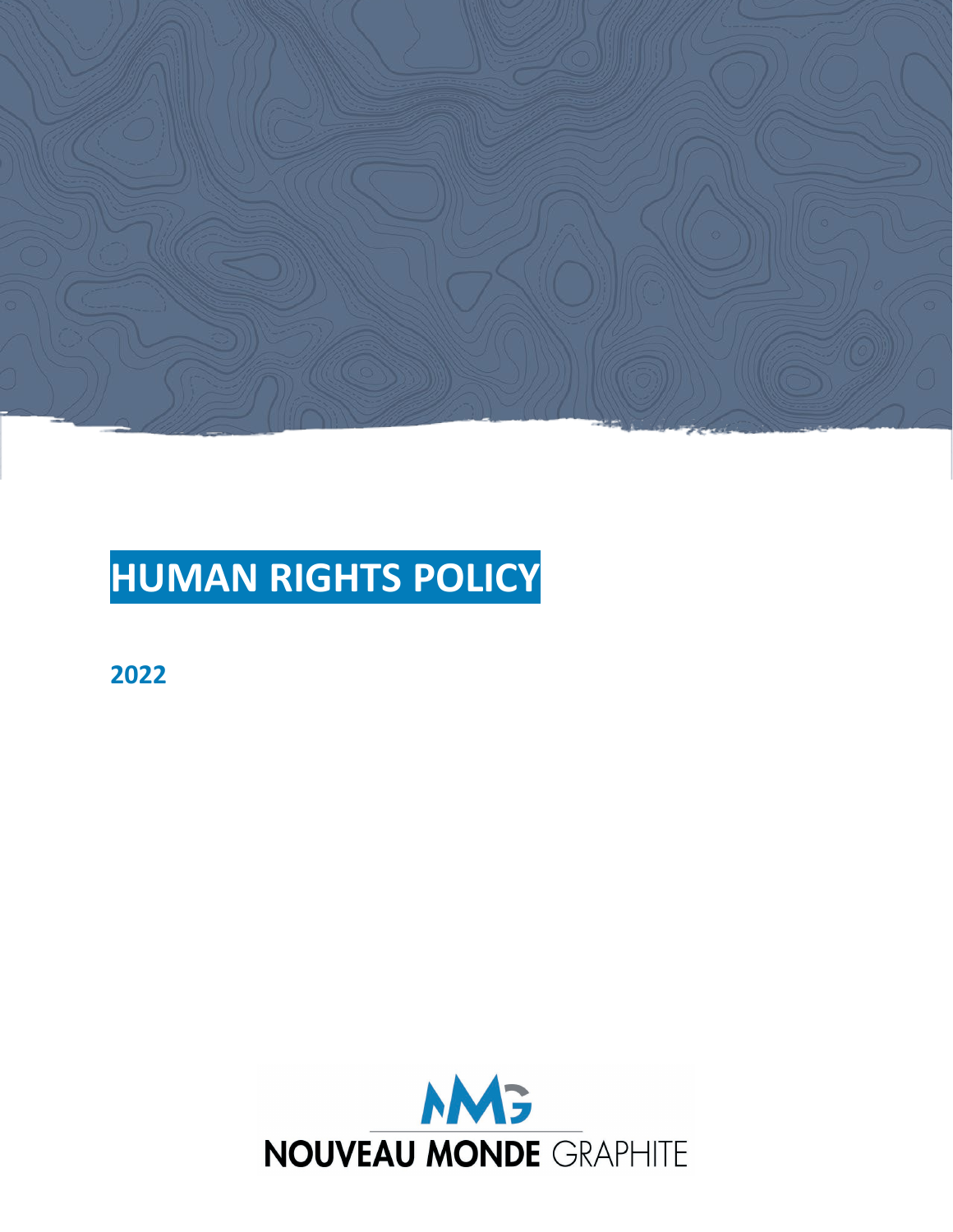

## **HUMAN RIGHTS POLICY**

**2022**

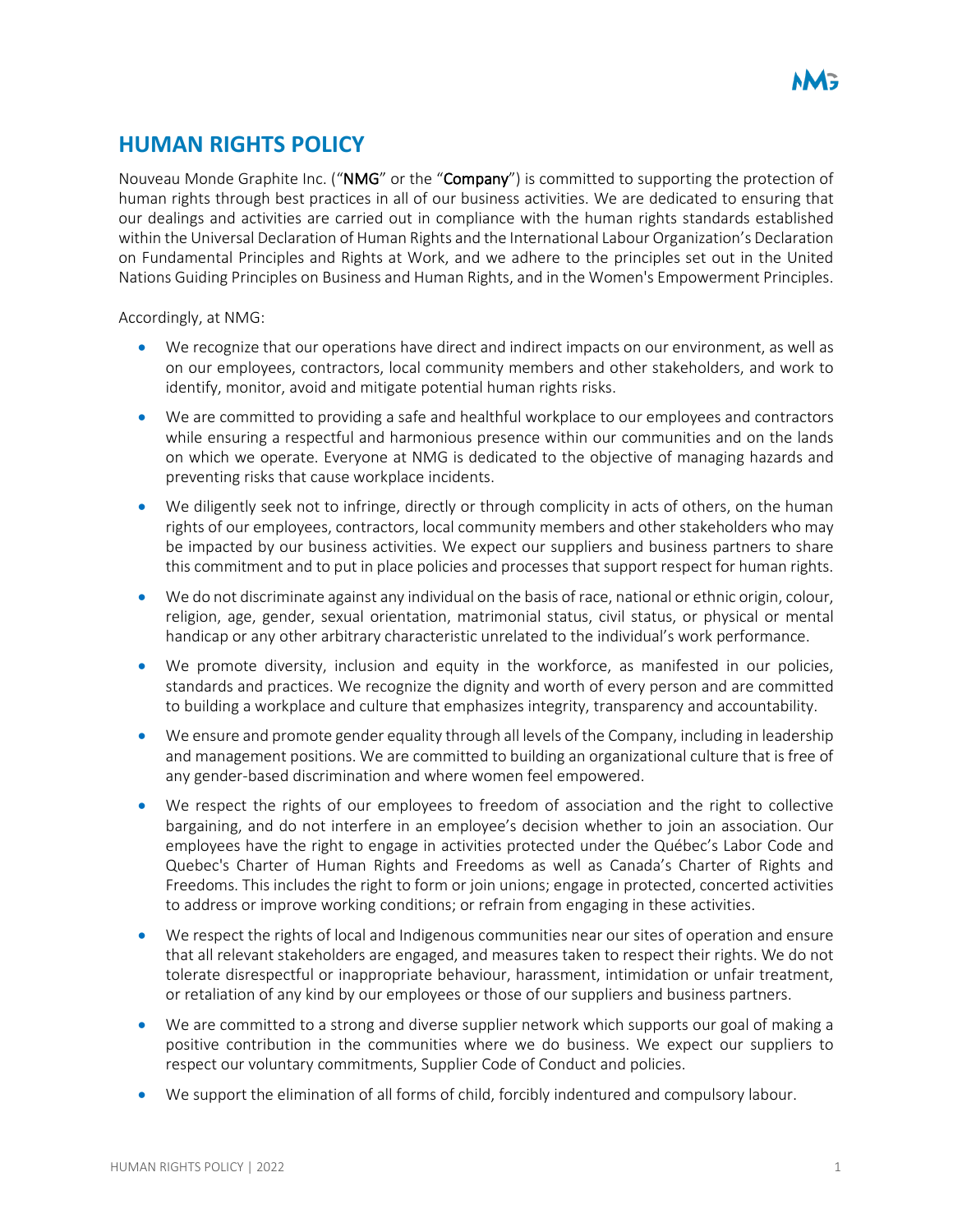## **HUMAN RIGHTS POLICY**

Nouveau Monde Graphite Inc. ("NMG" or the "Company") is committed to supporting the protection of human rights through best practices in all of our business activities. We are dedicated to ensuring that our dealings and activities are carried out in compliance with the human rights standards established within the Universal Declaration of Human Rights and the International Labour Organization's Declaration on Fundamental Principles and Rights at Work, and we adhere to the principles set out in the United Nations Guiding Principles on Business and Human Rights, and in the Women's Empowerment Principles.

Accordingly, at NMG:

- We recognize that our operations have direct and indirect impacts on our environment, as well as on our employees, contractors, local community members and other stakeholders, and work to identify, monitor, avoid and mitigate potential human rights risks.
- We are committed to providing a safe and healthful workplace to our employees and contractors while ensuring a respectful and harmonious presence within our communities and on the lands on which we operate. Everyone at NMG is dedicated to the objective of managing hazards and preventing risks that cause workplace incidents.
- We diligently seek not to infringe, directly or through complicity in acts of others, on the human rights of our employees, contractors, local community members and other stakeholders who may be impacted by our business activities. We expect our suppliers and business partners to share this commitment and to put in place policies and processes that support respect for human rights.
- We do not discriminate against any individual on the basis of race, national or ethnic origin, colour, religion, age, gender, sexual orientation, matrimonial status, civil status, or physical or mental handicap or any other arbitrary characteristic unrelated to the individual's work performance.
- We promote diversity, inclusion and equity in the workforce, as manifested in our policies, standards and practices. We recognize the dignity and worth of every person and are committed to building a workplace and culture that emphasizes integrity, transparency and accountability.
- We ensure and promote gender equality through all levels of the Company, including in leadership and management positions. We are committed to building an organizational culture that is free of any gender-based discrimination and where women feel empowered.
- We respect the rights of our employees to freedom of association and the right to collective bargaining, and do not interfere in an employee's decision whether to join an association. Our employees have the right to engage in activities protected under the Québec's Labor Code and Quebec's Charter of Human Rights and Freedoms as well as Canada's Charter of Rights and Freedoms. This includes the right to form or join unions; engage in protected, concerted activities to address or improve working conditions; or refrain from engaging in these activities.
- We respect the rights of local and Indigenous communities near our sites of operation and ensure that all relevant stakeholders are engaged, and measures taken to respect their rights. We do not tolerate disrespectful or inappropriate behaviour, harassment, intimidation or unfair treatment, or retaliation of any kind by our employees or those of our suppliers and business partners.
- We are committed to a strong and diverse supplier network which supports our goal of making a positive contribution in the communities where we do business. We expect our suppliers to respect our voluntary commitments, Supplier Code of Conduct and policies.
- We support the elimination of all forms of child, forcibly indentured and compulsory labour.